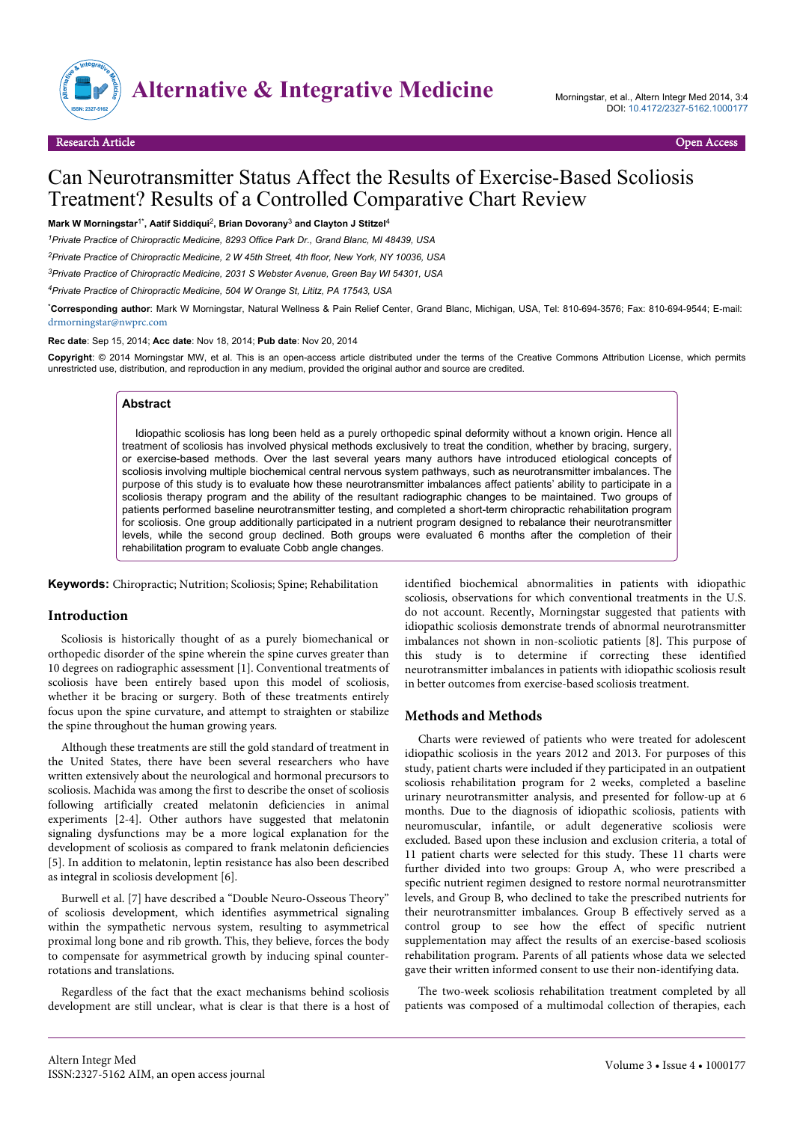

# Can Neurotransmitter Status Affect the Results of Exercise-Based Scoliosis Treatment? Results of a Controlled Comparative Chart Review

Mark W Morningstar<sup>1\*</sup>, Aatif Siddiqui<sup>2</sup>, Brian Dovorany<sup>3</sup> and Clayton J Stitzel<sup>4</sup>

*<sup>1</sup>Private Practice of Chiropractic Medicine, 8293 Office Park Dr., Grand Blanc, MI 48439, USA*

*<sup>2</sup>Private Practice of Chiropractic Medicine, 2 W 45th Street, 4th floor, New York, NY 10036, USA*

*<sup>3</sup>Private Practice of Chiropractic Medicine, 2031 S Webster Avenue, Green Bay WI 54301, USA*

*<sup>4</sup>Private Practice of Chiropractic Medicine, 504 W Orange St, Lititz, PA 17543, USA*

\***Corresponding author**: Mark W Morningstar, Natural Wellness & Pain Relief Center, Grand Blanc, Michigan, USA, Tel: 810-694-3576; Fax: 810-694-9544; E-mail: [drmorningstar@nwprc.com](mailto:drmorningstar@nwprc.com)

**Rec date**: Sep 15, 2014; **Acc date**: Nov 18, 2014; **Pub date**: Nov 20, 2014

**Copyright**: © 2014 Morningstar MW, et al. This is an open-access article distributed under the terms of the Creative Commons Attribution License, which permits unrestricted use, distribution, and reproduction in any medium, provided the original author and source are credited.

#### **Abstract**

Idiopathic scoliosis has long been held as a purely orthopedic spinal deformity without a known origin. Hence all treatment of scoliosis has involved physical methods exclusively to treat the condition, whether by bracing, surgery, or exercise-based methods. Over the last several years many authors have introduced etiological concepts of scoliosis involving multiple biochemical central nervous system pathways, such as neurotransmitter imbalances. The purpose of this study is to evaluate how these neurotransmitter imbalances affect patients' ability to participate in a scoliosis therapy program and the ability of the resultant radiographic changes to be maintained. Two groups of patients performed baseline neurotransmitter testing, and completed a short-term chiropractic rehabilitation program for scoliosis. One group additionally participated in a nutrient program designed to rebalance their neurotransmitter levels, while the second group declined. Both groups were evaluated 6 months after the completion of their rehabilitation program to evaluate Cobb angle changes.

**Keywords:** Chiropractic; Nutrition; Scoliosis; Spine; Rehabilitation

## **Introduction**

Scoliosis is historically thought of as a purely biomechanical or orthopedic disorder of the spine wherein the spine curves greater than 10 degrees on radiographic assessment [1]. Conventional treatments of scoliosis have been entirely based upon this model of scoliosis, whether it be bracing or surgery. Both of these treatments entirely focus upon the spine curvature, and attempt to straighten or stabilize the spine throughout the human growing years.

Although these treatments are still the gold standard of treatment in the United States, there have been several researchers who have written extensively about the neurological and hormonal precursors to scoliosis. Machida was among the first to describe the onset of scoliosis following artificially created melatonin deficiencies in animal experiments [2-4]. Other authors have suggested that melatonin signaling dysfunctions may be a more logical explanation for the development of scoliosis as compared to frank melatonin deficiencies [5]. In addition to melatonin, leptin resistance has also been described as integral in scoliosis development [6].

Burwell et al. [7] have described a "Double Neuro-Osseous Theory" of scoliosis development, which identifies asymmetrical signaling within the sympathetic nervous system, resulting to asymmetrical proximal long bone and rib growth. This, they believe, forces the body to compensate for asymmetrical growth by inducing spinal counterrotations and translations.

Regardless of the fact that the exact mechanisms behind scoliosis development are still unclear, what is clear is that there is a host of

identified biochemical abnormalities in patients with idiopathic scoliosis, observations for which conventional treatments in the U.S. do not account. Recently, Morningstar suggested that patients with idiopathic scoliosis demonstrate trends of abnormal neurotransmitter imbalances not shown in non-scoliotic patients [8]. This purpose of this study is to determine if correcting these identified neurotransmitter imbalances in patients with idiopathic scoliosis result in better outcomes from exercise-based scoliosis treatment.

## **Methods and Methods**

Charts were reviewed of patients who were treated for adolescent idiopathic scoliosis in the years 2012 and 2013. For purposes of this study, patient charts were included if they participated in an outpatient scoliosis rehabilitation program for 2 weeks, completed a baseline urinary neurotransmitter analysis, and presented for follow-up at 6 months. Due to the diagnosis of idiopathic scoliosis, patients with neuromuscular, infantile, or adult degenerative scoliosis were excluded. Based upon these inclusion and exclusion criteria, a total of 11 patient charts were selected for this study. These 11 charts were further divided into two groups: Group A, who were prescribed a specific nutrient regimen designed to restore normal neurotransmitter levels, and Group B, who declined to take the prescribed nutrients for their neurotransmitter imbalances. Group B effectively served as a control group to see how the effect of specific nutrient supplementation may affect the results of an exercise-based scoliosis rehabilitation program. Parents of all patients whose data we selected gave their written informed consent to use their non-identifying data.

The two-week scoliosis rehabilitation treatment completed by all patients was composed of a multimodal collection of therapies, each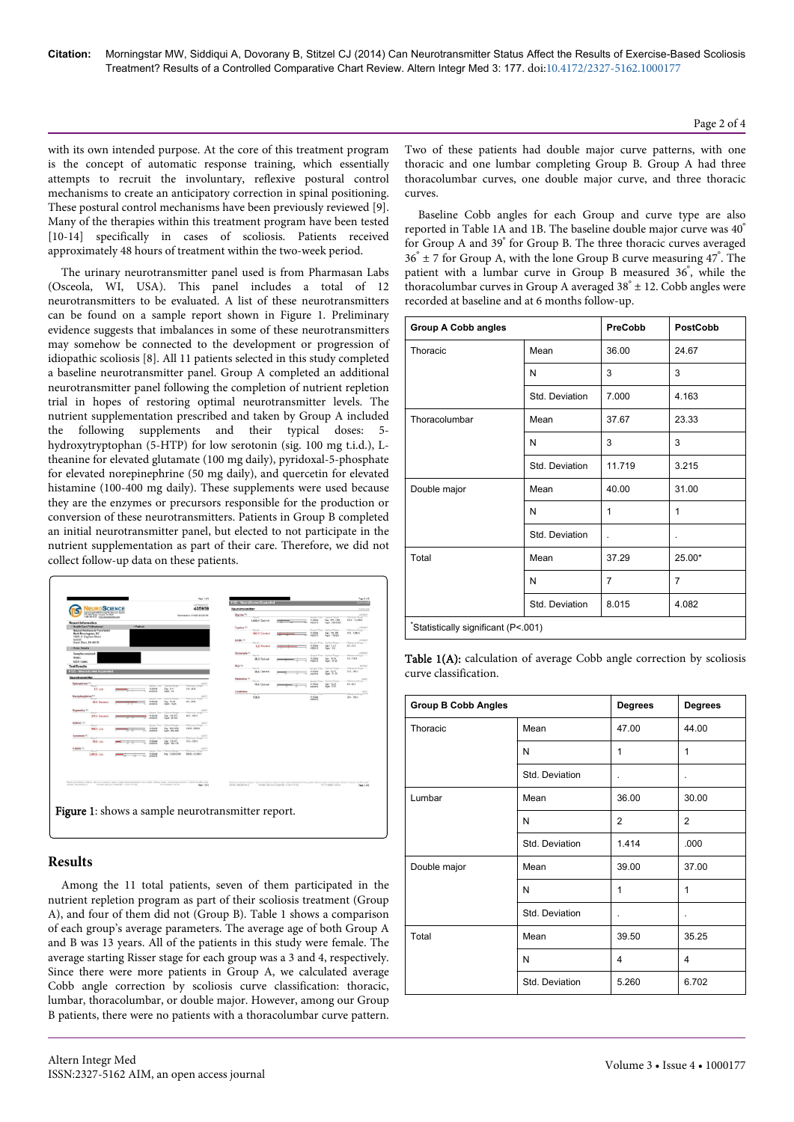with its own intended purpose. At the core of this treatment program is the concept of automatic response training, which essentially attempts to recruit the involuntary, reflexive postural control mechanisms to create an anticipatory correction in spinal positioning. These postural control mechanisms have been previously reviewed [9]. Many of the therapies within this treatment program have been tested [10-14] specifically in cases of scoliosis. Patients received approximately 48 hours of treatment within the two-week period.

The urinary neurotransmitter panel used is from Pharmasan Labs (Osceola, WI, USA). This panel includes a total of 12 neurotransmitters to be evaluated. A list of these neurotransmitters can be found on a sample report shown in Figure 1. Preliminary evidence suggests that imbalances in some of these neurotransmitters may somehow be connected to the development or progression of idiopathic scoliosis [8]. All 11 patients selected in this study completed a baseline neurotransmitter panel. Group A completed an additional neurotransmitter panel following the completion of nutrient repletion trial in hopes of restoring optimal neurotransmitter levels. The nutrient supplementation prescribed and taken by Group A included the following supplements and their typical doses: 5 hydroxytryptophan (5-HTP) for low serotonin (sig. 100 mg t.i.d.), Ltheanine for elevated glutamate (100 mg daily), pyridoxal-5-phosphate for elevated norepinephrine (50 mg daily), and quercetin for elevated histamine (100-400 mg daily). These supplements were used because they are the enzymes or precursors responsible for the production or conversion of these neurotransmitters. Patients in Group B completed an initial neurotransmitter panel, but elected to not participate in the nutrient supplementation as part of their care. Therefore, we did not collect follow-up data on these patients.



# **Results**

Among the 11 total patients, seven of them participated in the nutrient repletion program as part of their scoliosis treatment (Group A), and four of them did not (Group B). Table 1 shows a comparison of each group's average parameters. The average age of both Group A and B was 13 years. All of the patients in this study were female. The average starting Risser stage for each group was a 3 and 4, respectively. Since there were more patients in Group A, we calculated average Cobb angle correction by scoliosis curve classification: thoracic, lumbar, thoracolumbar, or double major. However, among our Group B patients, there were no patients with a thoracolumbar curve pattern. Two of these patients had double major curve patterns, with one thoracic and one lumbar completing Group B. Group A had three thoracolumbar curves, one double major curve, and three thoracic curves.

Baseline Cobb angles for each Group and curve type are also reported in Table 1A and 1B. The baseline double major curve was 40° for Group A and 39° for Group B. The three thoracic curves averaged 36° ± 7 for Group A, with the lone Group B curve measuring 47° . The patient with a lumbar curve in Group B measured 36° , while the thoracolumbar curves in Group A averaged  $38° \pm 12$ . Cobb angles were recorded at baseline and at 6 months follow-up.

| <b>Group A Cobb angles</b>          |                | PreCobb | <b>PostCobb</b> |  |
|-------------------------------------|----------------|---------|-----------------|--|
| Thoracic                            | Mean           | 36.00   | 24.67           |  |
|                                     | N              | 3       | 3               |  |
|                                     | Std. Deviation | 7.000   | 4.163           |  |
| Thoracolumbar                       | Mean           | 37.67   | 23.33           |  |
|                                     | N              | 3       | 3               |  |
|                                     | Std. Deviation | 11.719  | 3.215           |  |
| Double major                        | Mean           | 40.00   | 31.00           |  |
|                                     | N              | 1       | 1               |  |
|                                     | Std. Deviation | ä,      |                 |  |
| Total                               | Mean           | 37.29   | 25.00*          |  |
|                                     | N              | 7       | $\overline{7}$  |  |
|                                     | Std. Deviation | 8.015   | 4.082           |  |
| *Statistically significant (P<.001) |                |         |                 |  |

Table 1(A): calculation of average Cobb angle correction by scoliosis curve classification.

| <b>Group B Cobb Angles</b> |                | <b>Degrees</b> | <b>Degrees</b> |
|----------------------------|----------------|----------------|----------------|
| Thoracic                   | Mean           | 47.00          | 44.00          |
|                            | N              | 1              | 1              |
|                            | Std. Deviation | $\cdot$        | $\cdot$        |
| Lumbar                     | Mean           | 36.00          | 30.00          |
|                            | N              | $\overline{2}$ | $\overline{2}$ |
|                            | Std. Deviation | 1.414          | .000           |
| Double major               | Mean           | 39.00          | 37.00          |
|                            | N              | 1              | $\mathbf{1}$   |
|                            | Std. Deviation | ä,             | $\cdot$        |
| Total                      | Mean           | 39.50          | 35.25          |
|                            | N              | 4              | 4              |
|                            | Std. Deviation | 5.260          | 6.702          |

Page 2 of 4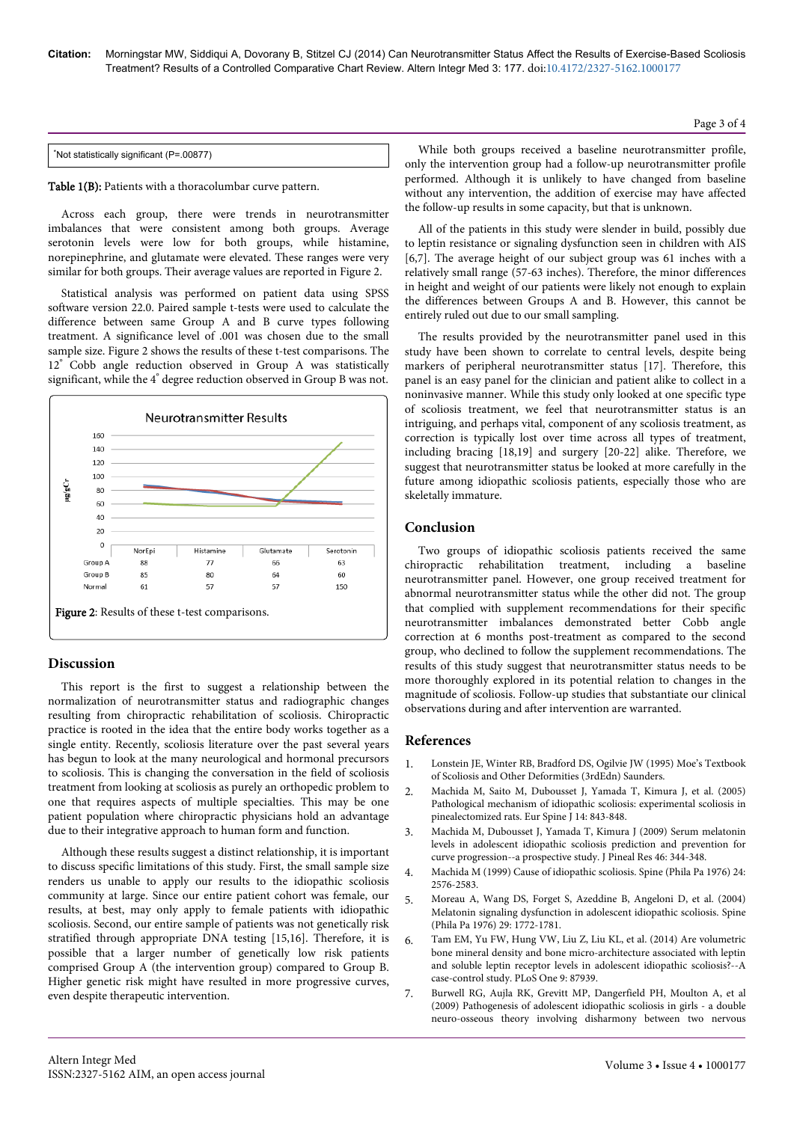\*Not statistically significant (P=.00877)

Table 1(B): Patients with a thoracolumbar curve pattern.

Across each group, there were trends in neurotransmitter imbalances that were consistent among both groups. Average serotonin levels were low for both groups, while histamine, norepinephrine, and glutamate were elevated. These ranges were very similar for both groups. Their average values are reported in Figure 2.

Statistical analysis was performed on patient data using SPSS software version 22.0. Paired sample t-tests were used to calculate the difference between same Group A and B curve types following treatment. A significance level of .001 was chosen due to the small sample size. Figure 2 shows the results of these t-test comparisons. The 12° Cobb angle reduction observed in Group A was statistically significant, while the 4° degree reduction observed in Group B was not.



# **Discussion**

This report is the first to suggest a relationship between the normalization of neurotransmitter status and radiographic changes resulting from chiropractic rehabilitation of scoliosis. Chiropractic practice is rooted in the idea that the entire body works together as a single entity. Recently, scoliosis literature over the past several years has begun to look at the many neurological and hormonal precursors to scoliosis. This is changing the conversation in the field of scoliosis treatment from looking at scoliosis as purely an orthopedic problem to one that requires aspects of multiple specialties. This may be one patient population where chiropractic physicians hold an advantage due to their integrative approach to human form and function.

Although these results suggest a distinct relationship, it is important to discuss specific limitations of this study. First, the small sample size renders us unable to apply our results to the idiopathic scoliosis community at large. Since our entire patient cohort was female, our results, at best, may only apply to female patients with idiopathic scoliosis. Second, our entire sample of patients was not genetically risk stratified through appropriate DNA testing [15,16]. Therefore, it is possible that a larger number of genetically low risk patients comprised Group A (the intervention group) compared to Group B. Higher genetic risk might have resulted in more progressive curves, even despite therapeutic intervention.

While both groups received a baseline neurotransmitter profile, only the intervention group had a follow-up neurotransmitter profile performed. Although it is unlikely to have changed from baseline without any intervention, the addition of exercise may have affected the follow-up results in some capacity, but that is unknown.

All of the patients in this study were slender in build, possibly due to leptin resistance or signaling dysfunction seen in children with AIS [6,7]. The average height of our subject group was 61 inches with a relatively small range (57-63 inches). Therefore, the minor differences in height and weight of our patients were likely not enough to explain the differences between Groups A and B. However, this cannot be entirely ruled out due to our small sampling.

The results provided by the neurotransmitter panel used in this study have been shown to correlate to central levels, despite being markers of peripheral neurotransmitter status [17]. Therefore, this panel is an easy panel for the clinician and patient alike to collect in a noninvasive manner. While this study only looked at one specific type of scoliosis treatment, we feel that neurotransmitter status is an intriguing, and perhaps vital, component of any scoliosis treatment, as correction is typically lost over time across all types of treatment, including bracing [18,19] and surgery [20-22] alike. Therefore, we suggest that neurotransmitter status be looked at more carefully in the future among idiopathic scoliosis patients, especially those who are skeletally immature.

## **Conclusion**

Two groups of idiopathic scoliosis patients received the same chiropractic rehabilitation treatment, including a baseline neurotransmitter panel. However, one group received treatment for abnormal neurotransmitter status while the other did not. The group that complied with supplement recommendations for their specific neurotransmitter imbalances demonstrated better Cobb angle correction at 6 months post-treatment as compared to the second group, who declined to follow the supplement recommendations. The results of this study suggest that neurotransmitter status needs to be more thoroughly explored in its potential relation to changes in the magnitude of scoliosis. Follow-up studies that substantiate our clinical observations during and after intervention are warranted.

### **References**

- 1. Lonstein JE, Winter RB, Bradford DS, Ogilvie JW (1995) Moe's Textbook of Scoliosis and Other Deformities (3rdEdn) Saunders.
- 2. [Machida M, Saito M, Dubousset J, Yamada T, Kimura J, et al. \(2005\)](http://www.ncbi.nlm.nih.gov/pubmed/15864672) [Pathological mechanism of idiopathic scoliosis: experimental scoliosis in](http://www.ncbi.nlm.nih.gov/pubmed/15864672) [pinealectomized rats. Eur Spine J 14: 843-848.](http://www.ncbi.nlm.nih.gov/pubmed/15864672)
- 3. [Machida M, Dubousset J, Yamada T, Kimura J \(2009\) Serum melatonin](http://www.ncbi.nlm.nih.gov/pubmed/19317797) [levels in adolescent idiopathic scoliosis prediction and prevention for](http://www.ncbi.nlm.nih.gov/pubmed/19317797) [curve progression--a prospective study. J Pineal Res 46: 344-348.](http://www.ncbi.nlm.nih.gov/pubmed/19317797)
- 4. [Machida M \(1999\) Cause of idiopathic scoliosis. Spine \(Phila Pa 1976\) 24:](http://www.ncbi.nlm.nih.gov/pubmed/10635520) [2576-2583.](http://www.ncbi.nlm.nih.gov/pubmed/10635520)
- 5. [Moreau A, Wang DS, Forget S, Azeddine B, Angeloni D, et al. \(2004\)](http://www.ncbi.nlm.nih.gov/pubmed/15303021) [Melatonin signaling dysfunction in adolescent idiopathic scoliosis. Spine](http://www.ncbi.nlm.nih.gov/pubmed/15303021) [\(Phila Pa 1976\) 29: 1772-1781.](http://www.ncbi.nlm.nih.gov/pubmed/15303021)
- 6. [Tam EM, Yu FW, Hung VW, Liu Z, Liu KL, et al. \(2014\) Are volumetric](http://www.ncbi.nlm.nih.gov/pubmed/24516571) [bone mineral density and bone micro-architecture associated with leptin](http://www.ncbi.nlm.nih.gov/pubmed/24516571) [and soluble leptin receptor levels in adolescent idiopathic scoliosis?--A](http://www.ncbi.nlm.nih.gov/pubmed/24516571) [case-control study. PLoS One 9: 87939.](http://www.ncbi.nlm.nih.gov/pubmed/24516571)
- 7. [Burwell RG, Aujla RK, Grevitt MP, Dangerfield PH, Moulton A, et al](http://www.ncbi.nlm.nih.gov/pubmed/19878575) [\(2009\) Pathogenesis of adolescent idiopathic scoliosis in girls - a double](http://www.ncbi.nlm.nih.gov/pubmed/19878575) [neuro-osseous theory involving disharmony between two nervous](http://www.ncbi.nlm.nih.gov/pubmed/19878575)